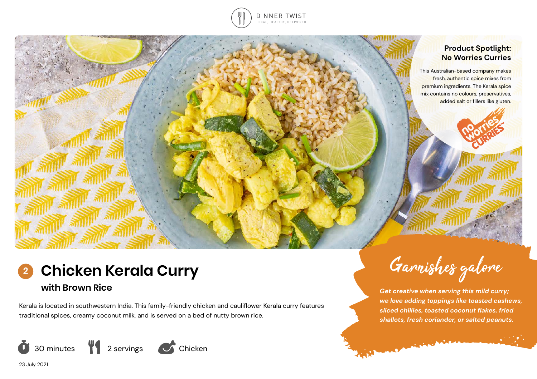

### **Product Spotlight: No Worries Curries**

This Australian-based company makes fresh, authentic spice mixes from premium ingredients. The Kerala spice mix contains no colours, preservatives, added salt or fillers like gluten.

# **Chicken Kerala Curry 2**

**with Brown Rice**

Kerala is located in southwestern India. This family-friendly chicken and cauliflower Kerala curry features traditional spices, creamy coconut milk, and is served on a bed of nutty brown rice.



Garnishes galore

*Get creative when serving this mild curry; we love adding toppings like toasted cashews, sliced chillies, toasted coconut flakes, fried shallots, fresh coriander, or salted peanuts.* 

Company of the Company